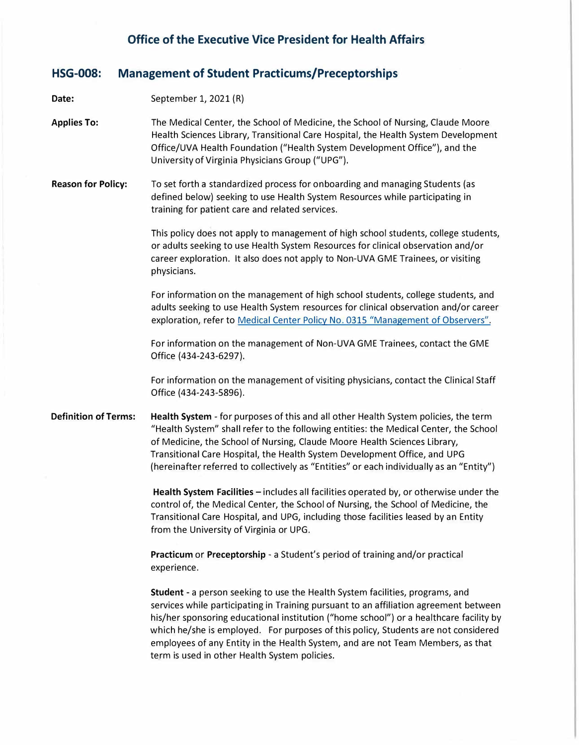# **Office of the Executive Vice President for Health Affairs**

#### **HSG-008: Management of Student Practicums/Preceptorships**

**Date:**  September 1, 2021 (R)

**Applies To:**  The Medical Center, the School of Medicine, the School of Nursing, Claude Moore Health Sciences Library, Transitional Care Hospital, the Health System Development Office/UVA Health Foundation ("Health System Development Office"), and the University of Virginia Physicians Group ("UPG").

**Reason for Policy:** To set forth a standardized process for onboarding and managing Students (as defined below) seeking to use Health System Resources while participating in training for patient care and related services.

> This policy does not apply to management of high school students, college students, or adults seeking to use Health System Resources for clinical observation and/or career exploration. It also does not apply to Non-UVA GME Trainees, or visiting physicians.

> For information on the management of high school students, college students, and adults seeking to use Health System resources for clinical observation and/or career exploration, refer to Medical Center Policy No. 0315 "Management of Observers".

For information on the management of Non-UVA GME Trainees, contact the GME Office (434-243-6297).

For information on the management of visiting physicians, contact the Clinical Staff Office (434-243-5896).

**Definition of Terms: Health System** - for purposes of this and all other Health System policies, the term "Health System" shall refer to the following entities: the Medical Center, the School of Medicine, the School of Nursing, Claude Moore Health Sciences Library, Transitional Care Hospital, the Health System Development Office, and UPG (hereinafter referred to collectively as "Entities" or each individually as an "Entity")

> **Health System Facilities** - includes all facilities operated by, or otherwise under the control of, the Medical Center, the School of Nursing, the School of Medicine, the Transitional Care Hospital, and UPG, including those facilities leased by an Entity from the University of Virginia or UPG.

**Practicum or Preceptorship** - a Student's period of training and/or practical experience.

**Student** - a person seeking to use the Health System facilities, programs, and services while participating in Training pursuant to an affiliation agreement between his/her sponsoring educational institution ("home school") or a healthcare facility by which he/she is employed. For purposes of this policy, Students are not considered employees of any Entity in the Health System, and are not Team Members, as that term is used in other Health System policies.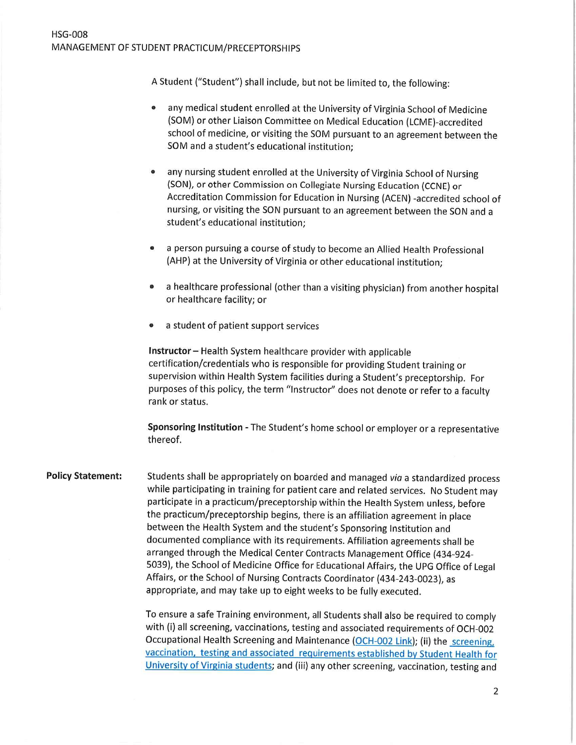A Student ("Student") shall include, but not be limited to, the following:

- any medical student enrolled at the University of Virginia School of Medicine  $\bullet$ (SOM) or other Liaison Committee on Medical Education (LCME)-accredited school of medicine, or visiting the SOM pursuant to an agreement between the SOM and a student's educational institution:
- any nursing student enrolled at the University of Virginia School of Nursing  $\bullet$ (SON), or other Commission on Collegiate Nursing Education (CCNE) or Accreditation Commission for Education in Nursing (ACEN) -accredited school of nursing, or visiting the SON pursuant to an agreement between the SON and a student's educational institution;
- a person pursuing a course of study to become an Allied Health Professional  $\bullet$ (AHP) at the University of Virginia or other educational institution:
- a healthcare professional (other than a visiting physician) from another hospital  $\bullet$ or healthcare facility; or
- a student of patient support services

Instructor - Health System healthcare provider with applicable certification/credentials who is responsible for providing Student training or supervision within Health System facilities during a Student's preceptorship. For purposes of this policy, the term "Instructor" does not denote or refer to a faculty rank or status.

Sponsoring Institution - The Student's home school or employer or a representative thereof.

**Policy Statement:** Students shall be appropriately on boarded and managed via a standardized process while participating in training for patient care and related services. No Student may participate in a practicum/preceptorship within the Health System unless, before the practicum/preceptorship begins, there is an affiliation agreement in place between the Health System and the student's Sponsoring Institution and documented compliance with its requirements. Affiliation agreements shall be arranged through the Medical Center Contracts Management Office (434-924-5039), the School of Medicine Office for Educational Affairs, the UPG Office of Legal Affairs, or the School of Nursing Contracts Coordinator (434-243-0023), as appropriate, and may take up to eight weeks to be fully executed.

> To ensure a safe Training environment, all Students shall also be required to comply with (i) all screening, vaccinations, testing and associated requirements of OCH-002 Occupational Health Screening and Maintenance (OCH-002 Link); (ii) the screening, vaccination, testing and associated requirements established by Student Health for University of Virginia students; and (iii) any other screening, vaccination, testing and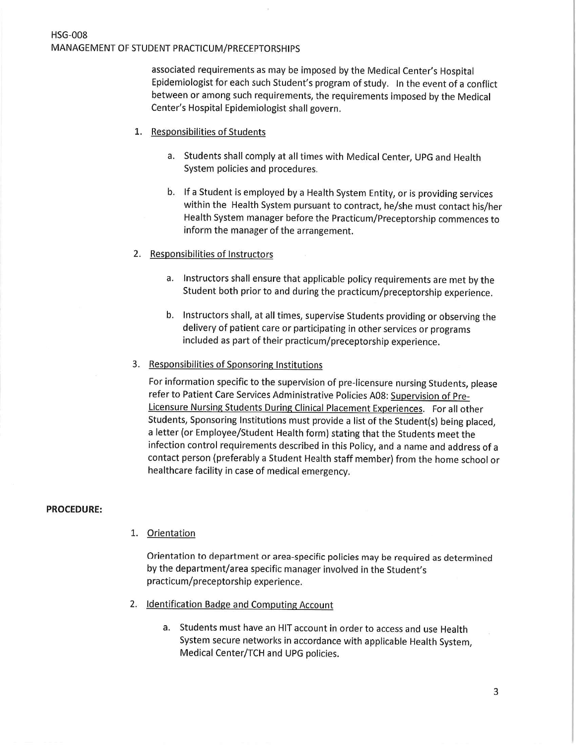## **HSG-008** MANAGEMENT OF STUDENT PRACTICUM/PRECEPTORSHIPS

associated requirements as may be imposed by the Medical Center's Hospital Epidemiologist for each such Student's program of study. In the event of a conflict between or among such requirements, the requirements imposed by the Medical Center's Hospital Epidemiologist shall govern.

- 1. Responsibilities of Students
	- a. Students shall comply at all times with Medical Center, UPG and Health System policies and procedures.
	- b. If a Student is employed by a Health System Entity, or is providing services within the Health System pursuant to contract, he/she must contact his/her Health System manager before the Practicum/Preceptorship commences to inform the manager of the arrangement.
- 2. Responsibilities of Instructors
	- a. Instructors shall ensure that applicable policy requirements are met by the Student both prior to and during the practicum/preceptorship experience.
	- b. Instructors shall, at all times, supervise Students providing or observing the delivery of patient care or participating in other services or programs included as part of their practicum/preceptorship experience.
- 3. Responsibilities of Sponsoring Institutions

For information specific to the supervision of pre-licensure nursing Students, please refer to Patient Care Services Administrative Policies A08: Supervision of Pre-Licensure Nursing Students During Clinical Placement Experiences. For all other Students, Sponsoring Institutions must provide a list of the Student(s) being placed, a letter (or Employee/Student Health form) stating that the Students meet the infection control requirements described in this Policy, and a name and address of a contact person (preferably a Student Health staff member) from the home school or healthcare facility in case of medical emergency.

#### **PROCEDURE:**

1. Orientation

Orientation to department or area-specific policies may be required as determined by the department/area specific manager involved in the Student's practicum/preceptorship experience.

- 2. Identification Badge and Computing Account
	- a. Students must have an HIT account in order to access and use Health System secure networks in accordance with applicable Health System, Medical Center/TCH and UPG policies.

3